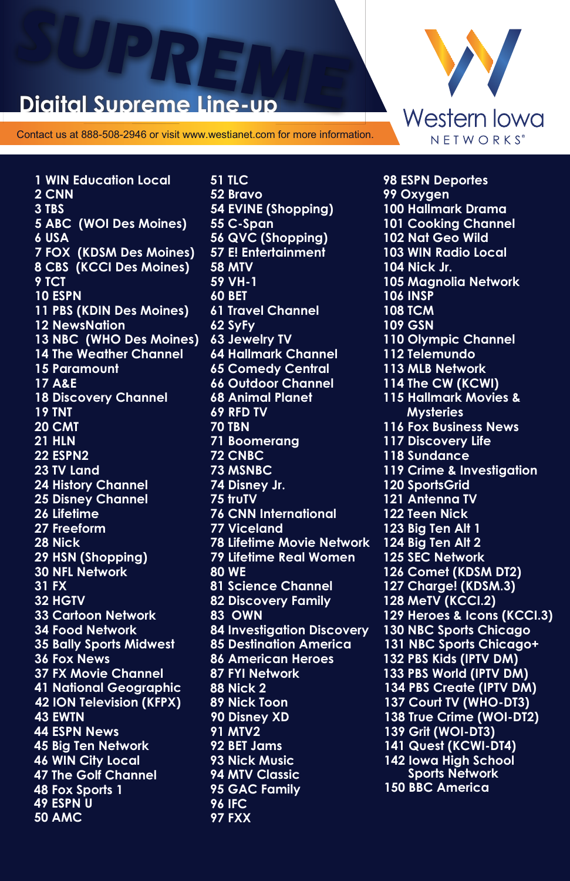## **SUPREME DE L'AUDIT DE L'AUDIT DE L'AUDIT DE L'AUDIT DE L'AUDIT DE L'AUDIT DE L'AUDIT DE L'AUDIT DE L'AUDIT DE L'AUDIT DE L'AUDIT DE L'AUDIT DE L'AUDIT DE L'AUDIT DE L'AUDIT DE L'AUDIT DE L'AUDIT DE L'AUDIT DE L'AUDIT DE L Digital Supreme L**

Contact us at 888-508-2946 or visit www.westianet.com for more information.

**51 TLC** 

**1 WIN Education Local 2 CNN 3 TBS 5 ABC (WOI Des Moines) 6 USA 7 FOX (KDSM Des Moines) 8 CBS (KCCI Des Moines) 9 TCT 10 ESPN 11 PBS (KDIN Des Moines) 12 NewsNation 13 NBC (WHO Des Moines) 14 The Weather Channel 15 Paramount 17 A&E 18 Discovery Channel 19 TNT 20 CMT 21 HLN 22 ESPN2 23 TV Land 24 History Channel 25 Disney Channel 26 Lifetime 27 Freeform 28 Nick 29 HSN (Shopping) 46 WIN City Local 31 FX 32 HGTV 33 Cartoon Network 34 Food Network 35 Bally Sports Midwest 36 Fox News 37 FX Movie Channel 41 National Geographic 42 ION Television (KFPX) 43 EWTN 45 Big Ten Network 30 NFL Network 47 The Golf Channel 48 Fox Sports 1 49 ESPN U 50 AMC 44 ESPN News** 

**52 Bravo 54 EVINE (Shopping) 55 C-Span 56 QVC (Shopping) 57 E! Entertainment 58 MTV 59 VH-1 60 BET 61 Travel Channel 62 SyFy 64 Hallmark Channel 65 Comedy Central 66 Outdoor Channel 68 Animal Planet 69 RFD TV 70 TBN 71 Boomerang 72 CNBC 73 MSNBC 74 Disney Jr. 75 truTV 76 CNN International 77 Viceland 78 Lifetime Movie Network 79 Lifetime Real Women 80 WE 81 Science Channel 82 Discovery Family 83 OWN 84 Investigation Discovery 85 Destination America 86 American Heroes 87 FYI Network 88 Nick 2 89 Nick Toon 90 Disney XD 91 MTV2 92 BET Jams 93 Nick Music 94 MTV Classic 95 GAC Family 96 IFC 97 FXX 63 Jewelry TV**



**142 Iowa High School Sports Network 102 Nat Geo Wild 103 WIN Radio Local 98 ESPN Deportes 99 Oxygen 101 Cooking Channel 104 Nick Jr. 105 Magnolia Network 108 TCM 109 GSN 110 Olympic Channel 112 Telemundo 113 MLB Network 114 The CW (KCWI) 115 Hallmark Movies & Mysteries 116 Fox Business News 117 Discovery Life 119 Crime & Investigation 120 SportsGrid 121 Antenna TV 122 Teen Nick 123 Big Ten Alt 1 124 Big Ten Alt 2 125 SEC Network 126 Comet (KDSM DT2) 127 Charge! (KDSM.3) 128 MeTV (KCCI.2) 129 Heroes & Icons (KCCI.3) 130 NBC Sports Chicago 131 NBC Sports Chicago+ 132 PBS Kids (IPTV DM) 133 PBS World (IPTV DM) 134 PBS Create (IPTV DM) 100 Hallmark Drama 106 INSP 137 Court TV (WHO-DT3) 138 True Crime (WOI-DT2) 139 Grit (WOI-DT3) 141 Quest (KCWI-DT4) 118 Sundance 150 BBC America**